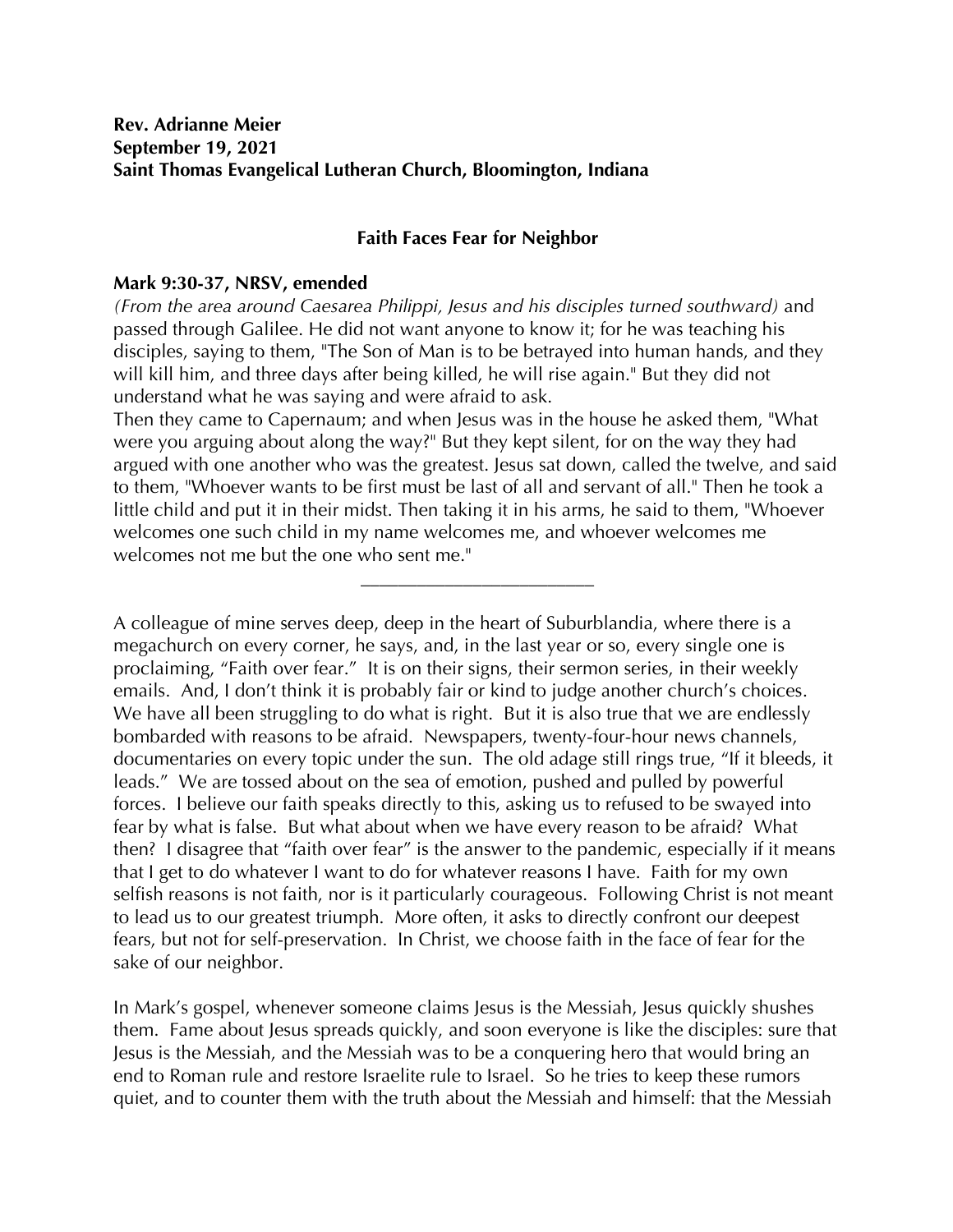## **Faith Faces Fear for Neighbor**

## **Mark 9:30-37, NRSV, emended**

*(From the area around Caesarea Philippi, Jesus and his disciples turned southward)* and passed through Galilee. He did not want anyone to know it; for he was teaching his disciples, saying to them, "The Son of Man is to be betrayed into human hands, and they will kill him, and three days after being killed, he will rise again." But they did not understand what he was saying and were afraid to ask.

Then they came to Capernaum; and when Jesus was in the house he asked them, "What were you arguing about along the way?" But they kept silent, for on the way they had argued with one another who was the greatest. Jesus sat down, called the twelve, and said to them, "Whoever wants to be first must be last of all and servant of all." Then he took a little child and put it in their midst. Then taking it in his arms, he said to them, "Whoever welcomes one such child in my name welcomes me, and whoever welcomes me welcomes not me but the one who sent me."

**\_\_\_\_\_\_\_\_\_\_\_\_\_\_\_\_\_\_\_\_\_\_\_\_\_**

A colleague of mine serves deep, deep in the heart of Suburblandia, where there is a megachurch on every corner, he says, and, in the last year or so, every single one is proclaiming, "Faith over fear." It is on their signs, their sermon series, in their weekly emails. And, I don't think it is probably fair or kind to judge another church's choices. We have all been struggling to do what is right. But it is also true that we are endlessly bombarded with reasons to be afraid. Newspapers, twenty-four-hour news channels, documentaries on every topic under the sun. The old adage still rings true, "If it bleeds, it leads." We are tossed about on the sea of emotion, pushed and pulled by powerful forces. I believe our faith speaks directly to this, asking us to refused to be swayed into fear by what is false. But what about when we have every reason to be afraid? What then? I disagree that "faith over fear" is the answer to the pandemic, especially if it means that I get to do whatever I want to do for whatever reasons I have. Faith for my own selfish reasons is not faith, nor is it particularly courageous. Following Christ is not meant to lead us to our greatest triumph. More often, it asks to directly confront our deepest fears, but not for self-preservation. In Christ, we choose faith in the face of fear for the sake of our neighbor.

In Mark's gospel, whenever someone claims Jesus is the Messiah, Jesus quickly shushes them. Fame about Jesus spreads quickly, and soon everyone is like the disciples: sure that Jesus is the Messiah, and the Messiah was to be a conquering hero that would bring an end to Roman rule and restore Israelite rule to Israel. So he tries to keep these rumors quiet, and to counter them with the truth about the Messiah and himself: that the Messiah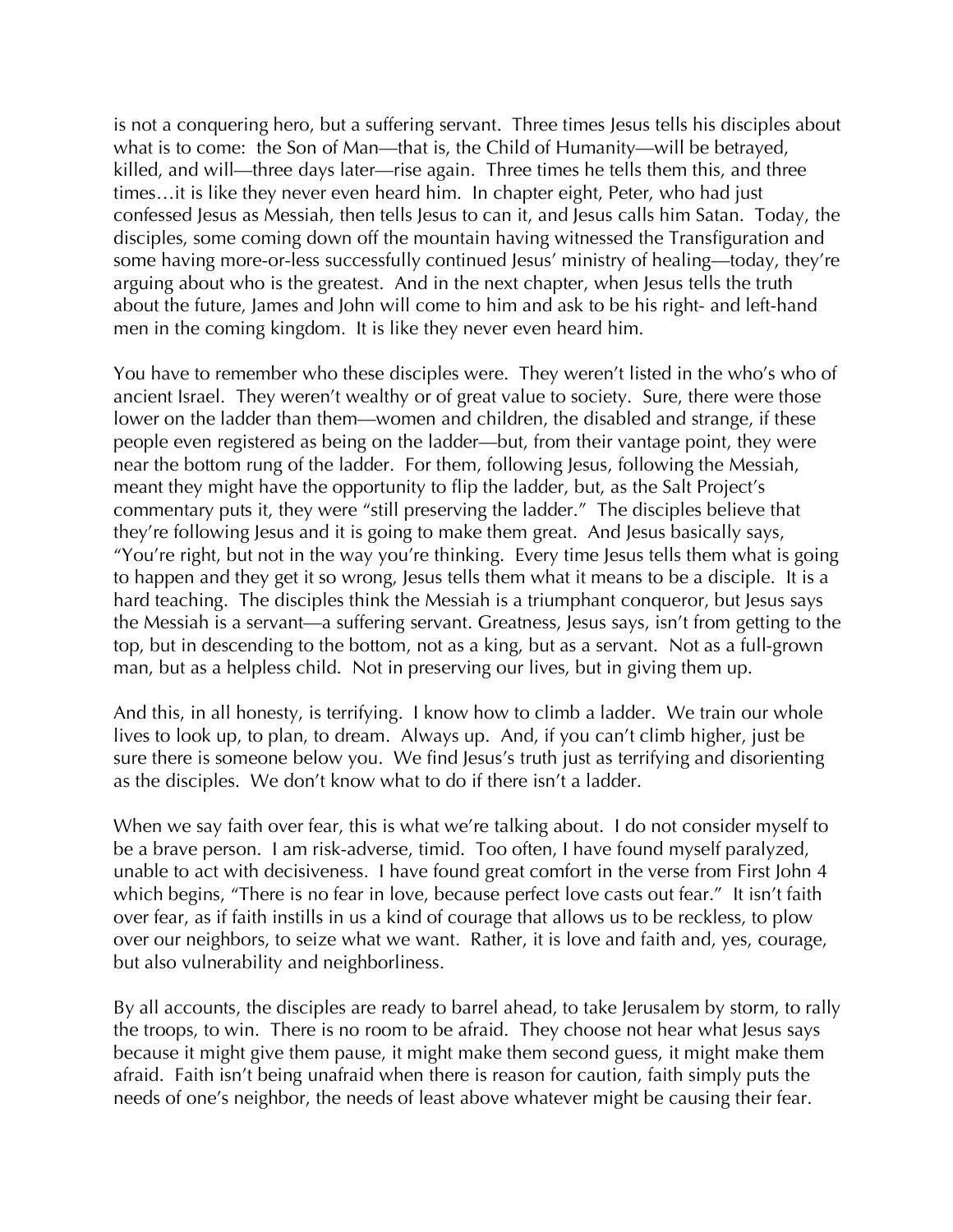is not a conquering hero, but a suffering servant. Three times Jesus tells his disciples about what is to come: the Son of Man—that is, the Child of Humanity—will be betrayed, killed, and will—three days later—rise again. Three times he tells them this, and three times…it is like they never even heard him. In chapter eight, Peter, who had just confessed Jesus as Messiah, then tells Jesus to can it, and Jesus calls him Satan. Today, the disciples, some coming down off the mountain having witnessed the Transfiguration and some having more-or-less successfully continued Jesus' ministry of healing—today, they're arguing about who is the greatest. And in the next chapter, when Jesus tells the truth about the future, James and John will come to him and ask to be his right- and left-hand men in the coming kingdom. It is like they never even heard him.

You have to remember who these disciples were. They weren't listed in the who's who of ancient Israel. They weren't wealthy or of great value to society. Sure, there were those lower on the ladder than them—women and children, the disabled and strange, if these people even registered as being on the ladder—but, from their vantage point, they were near the bottom rung of the ladder. For them, following Jesus, following the Messiah, meant they might have the opportunity to flip the ladder, but, as the Salt Project's commentary puts it, they were "still preserving the ladder." The disciples believe that they're following Jesus and it is going to make them great. And Jesus basically says, "You're right, but not in the way you're thinking. Every time Jesus tells them what is going to happen and they get it so wrong, Jesus tells them what it means to be a disciple. It is a hard teaching. The disciples think the Messiah is a triumphant conqueror, but Jesus says the Messiah is a servant—a suffering servant. Greatness, Jesus says, isn't from getting to the top, but in descending to the bottom, not as a king, but as a servant. Not as a full-grown man, but as a helpless child. Not in preserving our lives, but in giving them up.

And this, in all honesty, is terrifying. I know how to climb a ladder. We train our whole lives to look up, to plan, to dream. Always up. And, if you can't climb higher, just be sure there is someone below you. We find Jesus's truth just as terrifying and disorienting as the disciples. We don't know what to do if there isn't a ladder.

When we say faith over fear, this is what we're talking about. I do not consider myself to be a brave person. I am risk-adverse, timid. Too often, I have found myself paralyzed, unable to act with decisiveness. I have found great comfort in the verse from First John 4 which begins, "There is no fear in love, because perfect love casts out fear." It isn't faith over fear, as if faith instills in us a kind of courage that allows us to be reckless, to plow over our neighbors, to seize what we want. Rather, it is love and faith and, yes, courage, but also vulnerability and neighborliness.

By all accounts, the disciples are ready to barrel ahead, to take Jerusalem by storm, to rally the troops, to win. There is no room to be afraid. They choose not hear what Jesus says because it might give them pause, it might make them second guess, it might make them afraid. Faith isn't being unafraid when there is reason for caution, faith simply puts the needs of one's neighbor, the needs of least above whatever might be causing their fear.